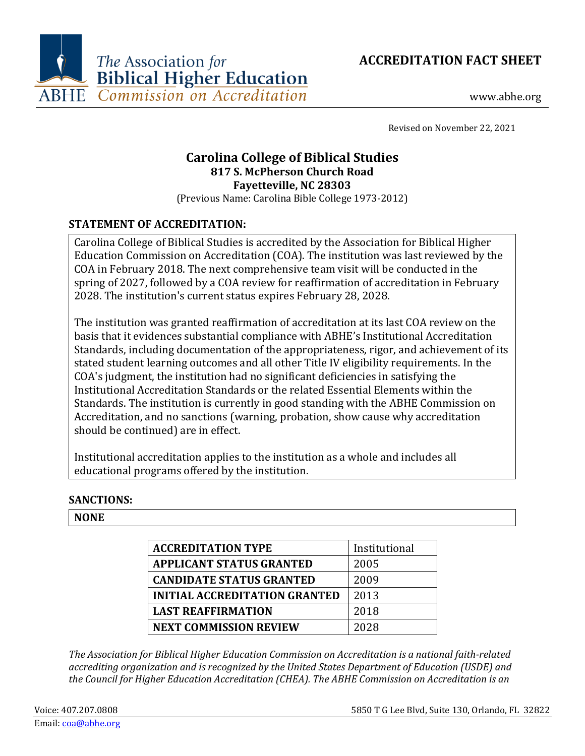



www.abhe.org

Revised on November 22, 2021

# **Carolina College of Biblical Studies 817 S. McPherson Church Road Fayetteville, NC 28303**

(Previous Name: Carolina Bible College 1973-2012)

## **STATEMENT OF ACCREDITATION:**

Carolina College of Biblical Studies is accredited by the Association for Biblical Higher Education Commission on Accreditation (COA). The institution was last reviewed by the COA in February 2018. The next comprehensive team visit will be conducted in the spring of 2027, followed by a COA review for reaffirmation of accreditation in February 2028. The institution's current status expires February 28, 2028.

The institution was granted reaffirmation of accreditation at its last COA review on the basis that it evidences substantial compliance with ABHE's Institutional Accreditation Standards, including documentation of the appropriateness, rigor, and achievement of its stated student learning outcomes and all other Title IV eligibility requirements. In the COA's judgment, the institution had no significant deficiencies in satisfying the Institutional Accreditation Standards or the related Essential Elements within the Standards. The institution is currently in good standing with the ABHE Commission on Accreditation, and no sanctions (warning, probation, show cause why accreditation should be continued) are in effect.

Institutional accreditation applies to the institution as a whole and includes all educational programs offered by the institution.

### **SANCTIONS:**

### **NONE**

| <b>ACCREDITATION TYPE</b>            | Institutional |
|--------------------------------------|---------------|
| <b>APPLICANT STATUS GRANTED</b>      | 2005          |
| <b>CANDIDATE STATUS GRANTED</b>      | 2009          |
| <b>INITIAL ACCREDITATION GRANTED</b> | 2013          |
| <b>LAST REAFFIRMATION</b>            | 2018          |
| <b>NEXT COMMISSION REVIEW</b>        | 2028          |

*The Association for Biblical Higher Education Commission on Accreditation is a national faith-related accrediting organization and is recognized by the United States Department of Education (USDE) and the Council for Higher Education Accreditation (CHEA). The ABHE Commission on Accreditation is an*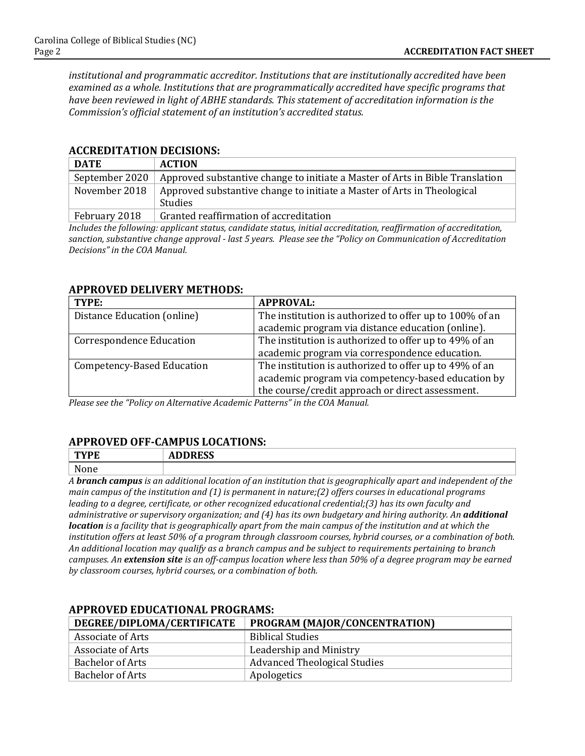*institutional and programmatic accreditor. Institutions that are institutionally accredited have been examined as a whole. Institutions that are programmatically accredited have specific programs that have been reviewed in light of ABHE standards. This statement of accreditation information is the Commission's official statement of an institution's accredited status.*

#### **ACCREDITATION DECISIONS:**

| <b>DATE</b>    | <b>ACTION</b>                                                                 |
|----------------|-------------------------------------------------------------------------------|
| September 2020 | Approved substantive change to initiate a Master of Arts in Bible Translation |
| November 2018  | Approved substantive change to initiate a Master of Arts in Theological       |
|                | <b>Studies</b>                                                                |
| February 2018  | Granted reaffirmation of accreditation                                        |

*Includes the following: applicant status, candidate status, initial accreditation, reaffirmation of accreditation, sanction, substantive change approval - last 5 years. Please see the "Policy on Communication of Accreditation Decisions" in the COA Manual.*

#### **APPROVED DELIVERY METHODS:**

| TYPE:                           | <b>APPROVAL:</b>                                        |
|---------------------------------|---------------------------------------------------------|
| Distance Education (online)     | The institution is authorized to offer up to 100% of an |
|                                 | academic program via distance education (online).       |
| <b>Correspondence Education</b> | The institution is authorized to offer up to 49% of an  |
|                                 | academic program via correspondence education.          |
| Competency-Based Education      | The institution is authorized to offer up to 49% of an  |
|                                 | academic program via competency-based education by      |
|                                 | the course/credit approach or direct assessment.        |

*Please see the "Policy on Alternative Academic Patterns" in the COA Manual.*

### **APPROVED OFF-CAMPUS LOCATIONS:**

| TVDE                                     | <b>BBB00</b> |
|------------------------------------------|--------------|
| ГĿ.                                      | נכשט         |
|                                          | ЛU           |
| N<br>$\sim$ $\sim$ $\sim$<br><b>NONE</b> |              |

*A branch campus is an additional location of an institution that is geographically apart and independent of the main campus of the institution and (1) is permanent in nature;(2) offers courses in educational programs leading to a degree, certificate, or other recognized educational credential;(3) has its own faculty and administrative or supervisory organization; and (4) has its own budgetary and hiring authority. An additional location is a facility that is geographically apart from the main campus of the institution and at which the institution offers at least 50% of a program through classroom courses, hybrid courses, or a combination of both. An additional location may qualify as a branch campus and be subject to requirements pertaining to branch campuses. An extension site is an off-campus location where less than 50% of a degree program may be earned by classroom courses, hybrid courses, or a combination of both.*

| DEGREE/DIPLOMA/CERTIFICATE | PROGRAM (MAJOR/CONCENTRATION)       |
|----------------------------|-------------------------------------|
| Associate of Arts          | <b>Biblical Studies</b>             |
| <b>Associate of Arts</b>   | Leadership and Ministry             |
| <b>Bachelor of Arts</b>    | <b>Advanced Theological Studies</b> |
| <b>Bachelor of Arts</b>    | Apologetics                         |

# **APPROVED EDUCATIONAL PROGRAMS:**